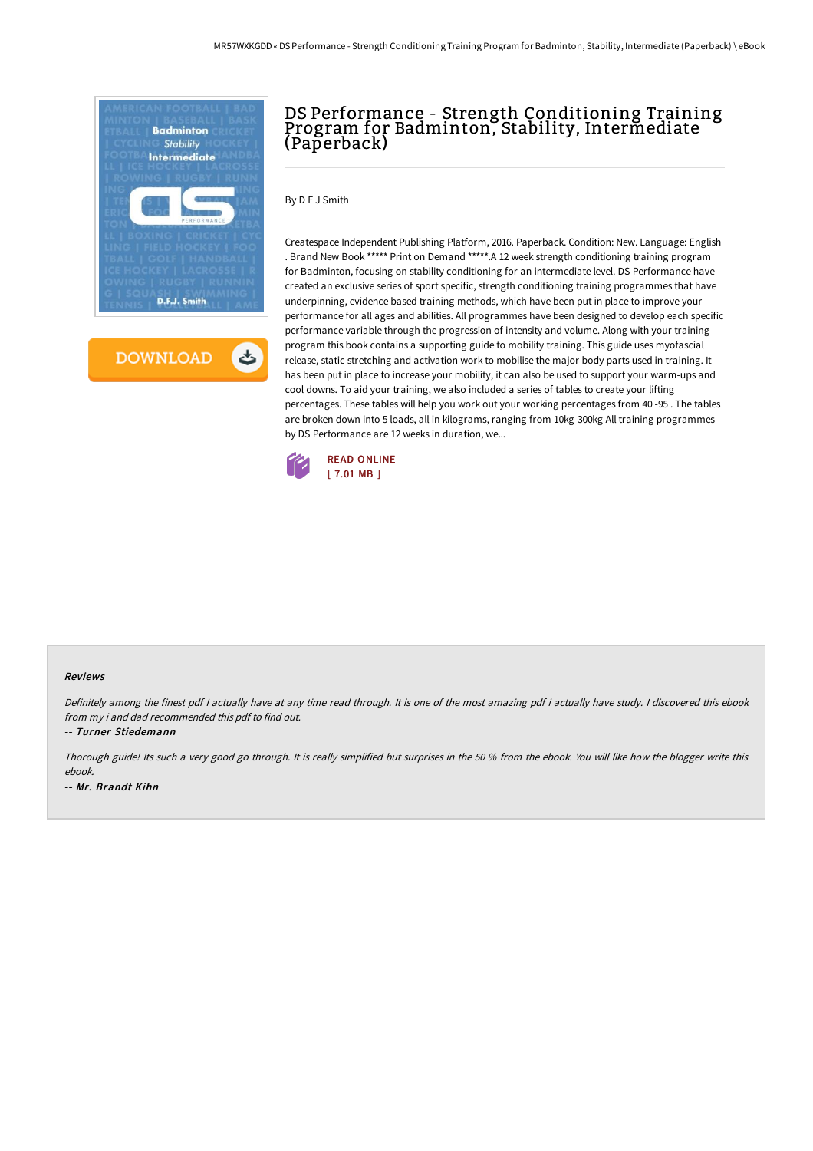

**DOWNLOAD** 

# DS Performance - Strength Conditioning Training Program for Badminton, Stability, Intermediate (Paperback)

By D F J Smith

Createspace Independent Publishing Platform, 2016. Paperback. Condition: New. Language: English . Brand New Book \*\*\*\*\* Print on Demand \*\*\*\*\*.A 12 week strength conditioning training program for Badminton, focusing on stability conditioning for an intermediate level. DS Performance have created an exclusive series of sport specific, strength conditioning training programmes that have underpinning, evidence based training methods, which have been put in place to improve your performance for all ages and abilities. All programmes have been designed to develop each specific performance variable through the progression of intensity and volume. Along with your training program this book contains a supporting guide to mobility training. This guide uses myofascial release, static stretching and activation work to mobilise the major body parts used in training. It has been put in place to increase your mobility, it can also be used to support your warm-ups and cool downs. To aid your training, we also included a series of tables to create your lifting percentages. These tables will help you work out your working percentages from 40 -95 . The tables are broken down into 5 loads, all in kilograms, ranging from 10kg-300kg All training programmes by DS Performance are 12 weeks in duration, we...



#### Reviews

Definitely among the finest pdf I actually have at any time read through. It is one of the most amazing pdf i actually have study. I discovered this ebook from my i and dad recommended this pdf to find out.

-- Turner Stiedemann

Thorough guide! Its such <sup>a</sup> very good go through. It is really simplified but surprises in the <sup>50</sup> % from the ebook. You will like how the blogger write this ebook. -- Mr. Brandt Kihn